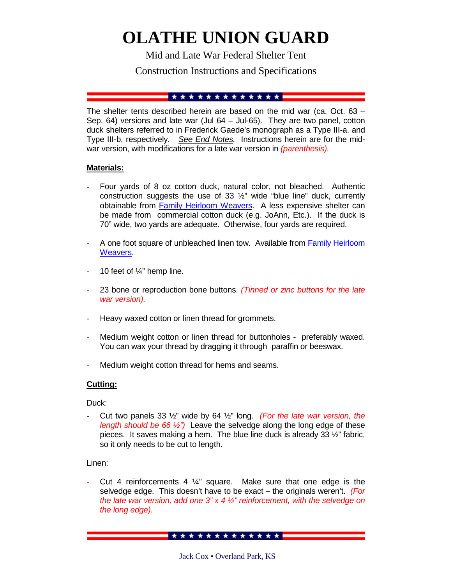# **OLATHE UNION GUARD**

Mid and Late War Federal Shelter Tent

# Construction Instructions and Specifications

## 

The shelter tents described herein are based on the mid war (ca. Oct. 63 – Sep. 64) versions and late war (Jul 64 – Jul-65). They are two panel, cotton duck shelters referred to in Frederick Gaede's monograph as a Type III-a. and Type III-b, respectively. *See End Notes.* Instructions herein are for the midwar version, with modifications for a late war version in *(parenthesis).*

## **Materials:**

- Four yards of 8 oz cotton duck, natural color, not bleached. Authentic construction suggests the use of 33 ½" wide "blue line" duck, currently obtainable from **Family Heirloom Weavers**. A less expensive shelter can be made from commercial cotton duck (e.g. JoAnn, Etc.). If the duck is 70" wide, two yards are adequate. Otherwise, four yards are required.
- A one foot square of unbleached linen tow. Available from **Family Heirloom** Weavers.
- 10 feet of  $\frac{1}{4}$ " hemp line.
- 23 bone or reproduction bone buttons. *(Tinned or zinc buttons for the late war version).*
- Heavy waxed cotton or linen thread for grommets.
- Medium weight cotton or linen thread for buttonholes preferably waxed. You can wax your thread by dragging it through paraffin or beeswax.
- Medium weight cotton thread for hems and seams.

## **Cutting:**

Duck:

- Cut two panels 33 ½" wide by 64 ½" long. *(For the late war version, the length should be 66 ½")* Leave the selvedge along the long edge of these pieces. It saves making a hem. The blue line duck is already 33 ½" fabric, so it only needs to be cut to length.

Linen:

Cut 4 reinforcements 4  $\frac{1}{4}$ " square. Make sure that one edge is the selvedge edge. This doesn't have to be exact – the originals weren't. *(For the late war version, add one 3" x 4 ½" reinforcement, with the selvedge on the long edge).*

Jack Cox • Overland Park, KS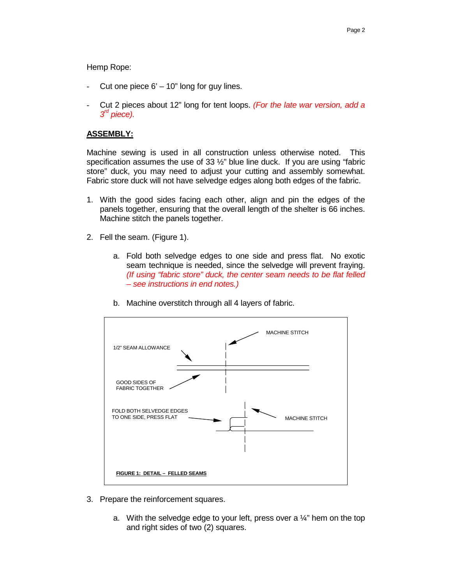Hemp Rope:

- Cut one piece  $6' 10''$  long for guy lines.
- Cut 2 pieces about 12" long for tent loops. *(For the late war version, add a 3rd piece).*

## **ASSEMBLY:**

Machine sewing is used in all construction unless otherwise noted. This specification assumes the use of 33 ½" blue line duck. If you are using "fabric store" duck, you may need to adjust your cutting and assembly somewhat. Fabric store duck will not have selvedge edges along both edges of the fabric.

- 1. With the good sides facing each other, align and pin the edges of the panels together, ensuring that the overall length of the shelter is 66 inches. Machine stitch the panels together.
- 2. Fell the seam. (Figure 1).
	- a. Fold both selvedge edges to one side and press flat. No exotic seam technique is needed, since the selvedge will prevent fraying. *(If using "fabric store" duck, the center seam needs to be flat felled – see instructions in end notes.)*



b. Machine overstitch through all 4 layers of fabric.

- 3. Prepare the reinforcement squares.
	- a. With the selvedge edge to your left, press over a  $\frac{1}{4}$ " hem on the top and right sides of two (2) squares.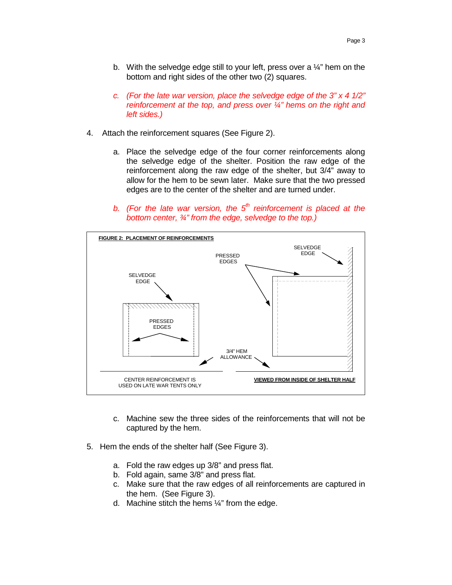- b. With the selvedge edge still to your left, press over a  $\frac{1}{4}$ " hem on the bottom and right sides of the other two (2) squares.
- *c. (For the late war version, place the selvedge edge of the 3" x 4 1/2" reinforcement at the top, and press over ¼" hems on the right and left sides.)*
- 4. Attach the reinforcement squares (See Figure 2).
	- a. Place the selvedge edge of the four corner reinforcements along the selvedge edge of the shelter. Position the raw edge of the reinforcement along the raw edge of the shelter, but 3/4" away to allow for the hem to be sewn later. Make sure that the two pressed edges are to the center of the shelter and are turned under.
	- *b.* (For the late war version, the  $5<sup>th</sup>$  reinforcement is placed at the *bottom center, ¾" from the edge, selvedge to the top.)*



- c. Machine sew the three sides of the reinforcements that will not be captured by the hem.
- 5. Hem the ends of the shelter half (See Figure 3).
	- a. Fold the raw edges up 3/8" and press flat.
	- b. Fold again, same 3/8" and press flat.
	- c. Make sure that the raw edges of all reinforcements are captured in the hem. (See Figure 3).
	- d. Machine stitch the hems  $\frac{1}{4}$ " from the edge.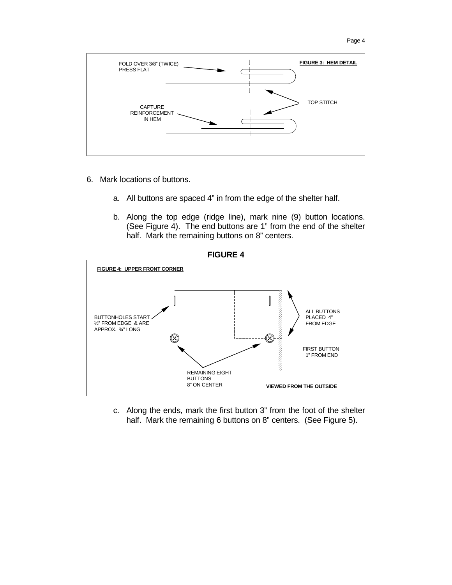



- 6. Mark locations of buttons.
	- a. All buttons are spaced 4" in from the edge of the shelter half.
	- b. Along the top edge (ridge line), mark nine (9) button locations. (See Figure 4). The end buttons are 1" from the end of the shelter half. Mark the remaining buttons on 8" centers.



c. Along the ends, mark the first button 3" from the foot of the shelter half. Mark the remaining 6 buttons on 8" centers. (See Figure 5).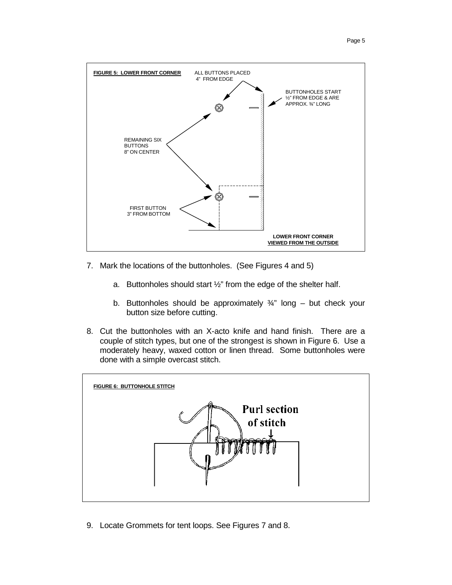

- 7. Mark the locations of the buttonholes. (See Figures 4 and 5)
	- a. Buttonholes should start ½" from the edge of the shelter half.
	- b. Buttonholes should be approximately  $\frac{3}{4}$ " long but check your button size before cutting.
- 8. Cut the buttonholes with an X-acto knife and hand finish. There are a couple of stitch types, but one of the strongest is shown in Figure 6. Use a moderately heavy, waxed cotton or linen thread. Some buttonholes were done with a simple overcast stitch.



9. Locate Grommets for tent loops. See Figures 7 and 8.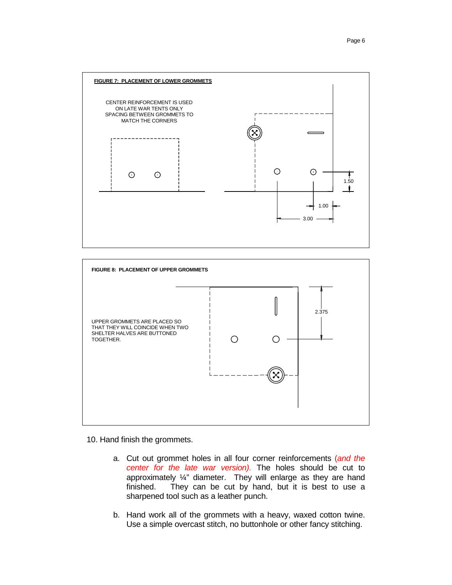



10. Hand finish the grommets.

- a. Cut out grommet holes in all four corner reinforcements (*and the center for the late war version).* The holes should be cut to approximately ¼" diameter. They will enlarge as they are hand finished. They can be cut by hand, but it is best to use a sharpened tool such as a leather punch.
- b. Hand work all of the grommets with a heavy, waxed cotton twine. Use a simple overcast stitch, no buttonhole or other fancy stitching.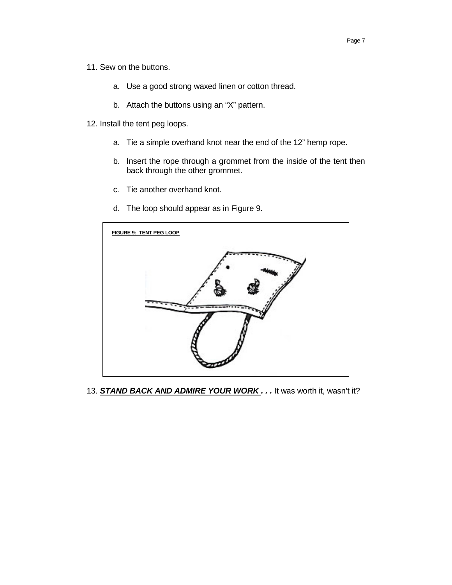Page 7

- 11. Sew on the buttons.
	- a. Use a good strong waxed linen or cotton thread.
	- b. Attach the buttons using an "X" pattern.
- 12. Install the tent peg loops.
	- a. Tie a simple overhand knot near the end of the 12" hemp rope.
	- b. Insert the rope through a grommet from the inside of the tent then back through the other grommet.
	- c. Tie another overhand knot.
	- d. The loop should appear as in Figure 9.



13. **STAND BACK AND ADMIRE YOUR WORK.** . . It was worth it, wasn't it?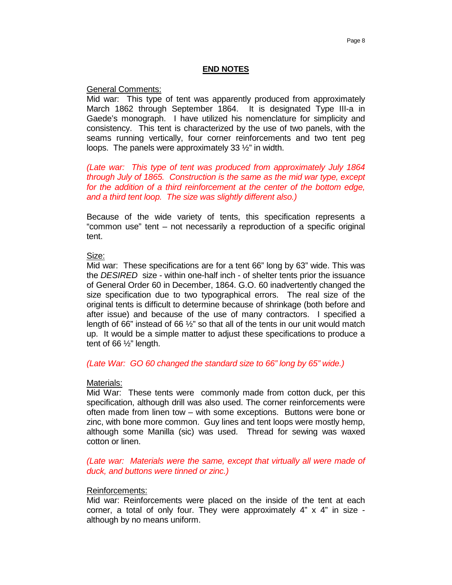## **END NOTES**

General Comments:

Mid war: This type of tent was apparently produced from approximately March 1862 through September 1864. It is designated Type III-a in Gaede's monograph. I have utilized his nomenclature for simplicity and consistency. This tent is characterized by the use of two panels, with the seams running vertically, four corner reinforcements and two tent peg loops. The panels were approximately 33 ½" in width.

*(Late war: This type of tent was produced from approximately July 1864 through July of 1865. Construction is the same as the mid war type, except for the addition of a third reinforcement at the center of the bottom edge, and a third tent loop. The size was slightly different also.)* 

Because of the wide variety of tents, this specification represents a "common use" tent – not necessarily a reproduction of a specific original tent.

## Size:

Mid war: These specifications are for a tent 66" long by 63" wide. This was the *DESIRED* size - within one-half inch - of shelter tents prior the issuance of General Order 60 in December, 1864. G.O. 60 inadvertently changed the size specification due to two typographical errors. The real size of the original tents is difficult to determine because of shrinkage (both before and after issue) and because of the use of many contractors. I specified a length of 66" instead of 66  $\frac{1}{2}$ " so that all of the tents in our unit would match up. It would be a simple matter to adjust these specifications to produce a tent of 66 ½" length.

*(Late War: GO 60 changed the standard size to 66" long by 65" wide.)* 

#### Materials:

Mid War: These tents were commonly made from cotton duck, per this specification, although drill was also used. The corner reinforcements were often made from linen tow – with some exceptions. Buttons were bone or zinc, with bone more common. Guy lines and tent loops were mostly hemp, although some Manilla (sic) was used. Thread for sewing was waxed cotton or linen.

*(Late war: Materials were the same, except that virtually all were made of duck, and buttons were tinned or zinc.)* 

#### Reinforcements:

Mid war: Reinforcements were placed on the inside of the tent at each corner, a total of only four. They were approximately 4" x 4" in size although by no means uniform.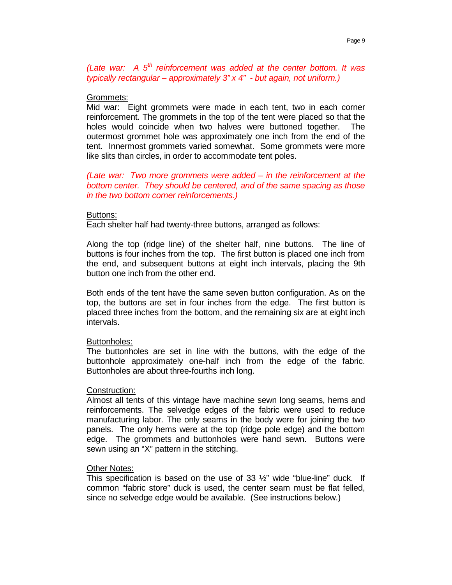*(Late war: A 5th reinforcement was added at the center bottom. It was typically rectangular – approximately 3" x 4" - but again, not uniform.)* 

## Grommets:

Mid war: Eight grommets were made in each tent, two in each corner reinforcement. The grommets in the top of the tent were placed so that the holes would coincide when two halves were buttoned together. The outermost grommet hole was approximately one inch from the end of the tent. Innermost grommets varied somewhat. Some grommets were more like slits than circles, in order to accommodate tent poles.

*(Late war: Two more grommets were added – in the reinforcement at the bottom center. They should be centered, and of the same spacing as those in the two bottom corner reinforcements.)* 

## Buttons:

Each shelter half had twenty-three buttons, arranged as follows:

Along the top (ridge line) of the shelter half, nine buttons. The line of buttons is four inches from the top. The first button is placed one inch from the end, and subsequent buttons at eight inch intervals, placing the 9th button one inch from the other end.

Both ends of the tent have the same seven button configuration. As on the top, the buttons are set in four inches from the edge. The first button is placed three inches from the bottom, and the remaining six are at eight inch intervals.

## Buttonholes:

The buttonholes are set in line with the buttons, with the edge of the buttonhole approximately one-half inch from the edge of the fabric. Buttonholes are about three-fourths inch long.

## Construction:

Almost all tents of this vintage have machine sewn long seams, hems and reinforcements. The selvedge edges of the fabric were used to reduce manufacturing labor. The only seams in the body were for joining the two panels. The only hems were at the top (ridge pole edge) and the bottom edge. The grommets and buttonholes were hand sewn. Buttons were sewn using an "X" pattern in the stitching.

## Other Notes:

This specification is based on the use of  $33 \frac{1}{2}$ " wide "blue-line" duck. If common "fabric store" duck is used, the center seam must be flat felled, since no selvedge edge would be available. (See instructions below.)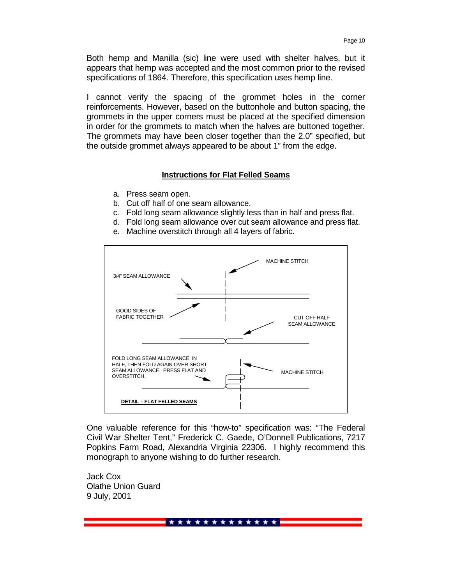Both hemp and Manilla (sic) line were used with shelter halves, but it appears that hemp was accepted and the most common prior to the revised specifications of 1864. Therefore, this specification uses hemp line.

I cannot verify the spacing of the grommet holes in the corner reinforcements. However, based on the buttonhole and button spacing, the grommets in the upper corners must be placed at the specified dimension in order for the grommets to match when the halves are buttoned together. The grommets may have been closer together than the 2.0" specified, but the outside grommet always appeared to be about 1" from the edge.

#### **Instructions for Flat Felled Seams**

- a. Press seam open.
- b. Cut off half of one seam allowance.
- c. Fold long seam allowance slightly less than in half and press flat.
- d. Fold long seam allowance over cut seam allowance and press flat.
- e. Machine overstitch through all 4 layers of fabric.



One valuable reference for this "how-to" specification was: "The Federal Civil War Shelter Tent," Frederick C. Gaede, O'Donnell Publications, 7217 Popkins Farm Road, Alexandria Virginia 22306. I highly recommend this monograph to anyone wishing to do further research.

Jack Cox Olathe Union Guard 9 July, 2001